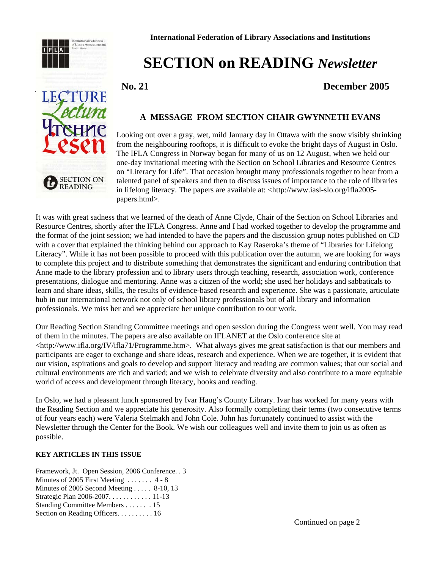



# **SECTION on READING** *Newsletter*

 **No. 21 December 2005**

## **A MESSAGE FROM SECTION CHAIR GWYNNETH EVANS**

Looking out over a gray, wet, mild January day in Ottawa with the snow visibly shrinking from the neighbouring rooftops, it is difficult to evoke the bright days of August in Oslo. The IFLA Congress in Norway began for many of us on 12 August, when we held our one-day invitational meeting with the Section on School Libraries and Resource Centres on "Literacy for Life". That occasion brought many professionals together to hear from a talented panel of speakers and then to discuss issues of importance to the role of libraries in lifelong literacy. The papers are available at: <http://www.iasl-slo.org/ifla2005 papers.html>.

It was with great sadness that we learned of the death of Anne Clyde, Chair of the Section on School Libraries and Resource Centres, shortly after the IFLA Congress. Anne and I had worked together to develop the programme and the format of the joint session; we had intended to have the papers and the discussion group notes published on CD with a cover that explained the thinking behind our approach to Kay Raseroka's theme of "Libraries for Lifelong Literacy". While it has not been possible to proceed with this publication over the autumn, we are looking for ways to complete this project and to distribute something that demonstrates the significant and enduring contribution that Anne made to the library profession and to library users through teaching, research, association work, conference presentations, dialogue and mentoring. Anne was a citizen of the world; she used her holidays and sabbaticals to learn and share ideas, skills, the results of evidence-based research and experience. She was a passionate, articulate hub in our international network not only of school library professionals but of all library and information professionals. We miss her and we appreciate her unique contribution to our work.

Our Reading Section Standing Committee meetings and open session during the Congress went well. You may read of them in the minutes. The papers are also available on IFLANET at the Oslo conference site at <http://www.ifla.org/IV/ifla71/Programme.htm>. What always gives me great satisfaction is that our members and participants are eager to exchange and share ideas, research and experience. When we are together, it is evident that our vision, aspirations and goals to develop and support literacy and reading are common values; that our social and cultural environments are rich and varied; and we wish to celebrate diversity and also contribute to a more equitable world of access and development through literacy, books and reading.

In Oslo, we had a pleasant lunch sponsored by Ivar Haug's County Library. Ivar has worked for many years with the Reading Section and we appreciate his generosity. Also formally completing their terms (two consecutive terms of four years each) were Valeria Stelmakh and John Cole. John has fortunately continued to assist with the Newsletter through the Center for the Book. We wish our colleagues well and invite them to join us as often as possible.

## **KEY ARTICLES IN THIS ISSUE**

Framework, Jt. Open Session, 2006 Conference. . 3 Minutes of 2005 First Meeting . . . . . . . 4 - 8 Minutes of 2005 Second Meeting . . . . . 8-10, 13 Strategic Plan 2006-2007. . . . . . . . . . . . 11-13 Standing Committee Members . . . . . . . 15 Section on Reading Officers. . . . . . . . . . 16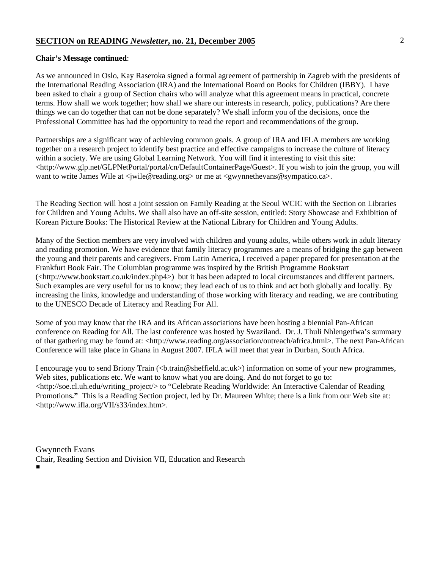#### **Chair's Message continued**:

As we announced in Oslo, Kay Raseroka signed a formal agreement of partnership in Zagreb with the presidents of the International Reading Association (IRA) and the International Board on Books for Children (IBBY). I have been asked to chair a group of Section chairs who will analyze what this agreement means in practical, concrete terms. How shall we work together; how shall we share our interests in research, policy, publications? Are there things we can do together that can not be done separately? We shall inform you of the decisions, once the Professional Committee has had the opportunity to read the report and recommendations of the group.

Partnerships are a significant way of achieving common goals. A group of IRA and IFLA members are working together on a research project to identify best practice and effective campaigns to increase the culture of literacy within a society. We are using Global Learning Network. You will find it interesting to visit this site: <http://www.glp.net/GLPNetPortal/portal/cn/DefaultContainerPage/Guest>. If you wish to join the group, you will want to write James Wile at  $\langle$  jwile@reading.org> or me at  $\langle$  gwynnethevans@sympatico.ca>.

The Reading Section will host a joint session on Family Reading at the Seoul WCIC with the Section on Libraries for Children and Young Adults. We shall also have an off-site session, entitled: Story Showcase and Exhibition of Korean Picture Books: The Historical Review at the National Library for Children and Young Adults.

Many of the Section members are very involved with children and young adults, while others work in adult literacy and reading promotion. We have evidence that family literacy programmes are a means of bridging the gap between the young and their parents and caregivers. From Latin America, I received a paper prepared for presentation at the Frankfurt Book Fair. The Columbian programme was inspired by the British Programme Bookstart (<http://www.bookstart.co.uk/index.php4>) but it has been adapted to local circumstances and different partners. Such examples are very useful for us to know; they lead each of us to think and act both globally and locally. By increasing the links, knowledge and understanding of those working with literacy and reading, we are contributing to the UNESCO Decade of Literacy and Reading For All.

Some of you may know that the IRA and its African associations have been hosting a biennial Pan-African conference on Reading for All. The last conference was hosted by Swaziland. Dr. J. Thuli Nhlengetfwa's summary of that gathering may be found at: <http://www.reading.org/association/outreach/africa.html>. The next Pan-African Conference will take place in Ghana in August 2007. IFLA will meet that year in Durban, South Africa.

I encourage you to send Briony Train (<br/>b.train@sheffield.ac.uk>) information on some of your new programmes, Web sites, publications etc. We want to know what you are doing. And do not forget to go to: <http://soe.cl.uh.edu/writing\_project/> to "Celebrate Reading Worldwide: An Interactive Calendar of Reading Promotions**."** This is a Reading Section project, led by Dr. Maureen White; there is a link from our Web site at: <http://www.ifla.org/VII/s33/index.htm>.

Gwynneth Evans Chair, Reading Section and Division VII, Education and Research #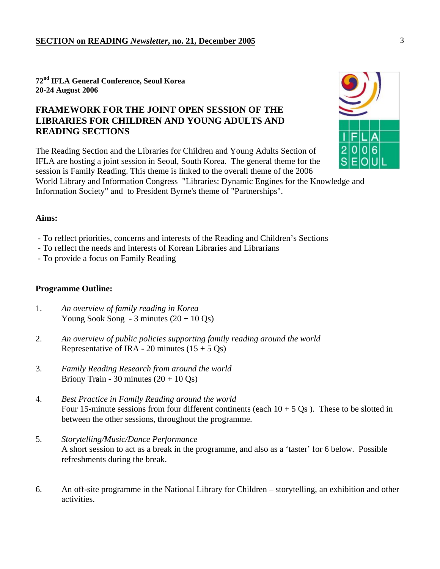**72nd IFLA General Conference, Seoul Korea 20-24 August 2006** 

## **FRAMEWORK FOR THE JOINT OPEN SESSION OF THE LIBRARIES FOR CHILDREN AND YOUNG ADULTS AND READING SECTIONS**

The Reading Section and the Libraries for Children and Young Adults Section of IFLA are hosting a joint session in Seoul, South Korea. The general theme for the session is Family Reading. This theme is linked to the overall theme of the 2006

World Library and Information Congress "Libraries: Dynamic Engines for the Knowledge and Information Society" and to President Byrne's theme of "Partnerships".

## **Aims:**

- To reflect priorities, concerns and interests of the Reading and Children's Sections
- To reflect the needs and interests of Korean Libraries and Librarians
- To provide a focus on Family Reading

## **Programme Outline:**

- 1. *An overview of family reading in Korea*  Young Sook Song - 3 minutes  $(20 + 10 \text{ Qs})$
- 2. *An overview of public policies supporting family reading around the world*  Representative of IRA - 20 minutes  $(15 + 5 \text{ Qs})$
- 3. *Family Reading Research from around the world*  Briony Train - 30 minutes  $(20 + 10 \text{ Qs})$
- 4. *Best Practice in Family Reading around the world* Four 15-minute sessions from four different continents (each  $10 + 5$  Os). These to be slotted in between the other sessions, throughout the programme.
- 5. *Storytelling/Music/Dance Performance* A short session to act as a break in the programme, and also as a 'taster' for 6 below. Possible refreshments during the break.
- 6. An off-site programme in the National Library for Children storytelling, an exhibition and other activities.

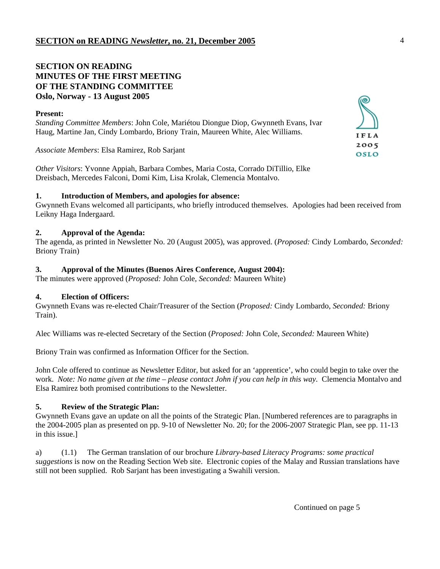## **SECTION ON READING MINUTES OF THE FIRST MEETING OF THE STANDING COMMITTEE Oslo, Norway - 13 August 2005**

| $\sum$      |
|-------------|
| IFLA        |
| 2005        |
| <b>OSLO</b> |
|             |

*Other Visitors*: Yvonne Appiah, Barbara Combes, Maria Costa, Corrado DiTillio, Elke Dreisbach, Mercedes Falconi, Domi Kim, Lisa Krolak, Clemencia Montalvo.

## **1. Introduction of Members, and apologies for absence:**

Gwynneth Evans welcomed all participants, who briefly introduced themselves. Apologies had been received from Leikny Haga Indergaard.

## **2. Approval of the Agenda:**

The agenda, as printed in Newsletter No. 20 (August 2005), was approved. (*Proposed:* Cindy Lombardo, *Seconded:* Briony Train)

## **3. Approval of the Minutes (Buenos Aires Conference, August 2004):**

The minutes were approved (*Proposed:* John Cole, *Seconded:* Maureen White)

## **4. Election of Officers:**

Gwynneth Evans was re-elected Chair/Treasurer of the Section (*Proposed:* Cindy Lombardo, *Seconded:* Briony Train).

Alec Williams was re-elected Secretary of the Section (*Proposed:* John Cole, *Seconded:* Maureen White)

Briony Train was confirmed as Information Officer for the Section.

John Cole offered to continue as Newsletter Editor, but asked for an 'apprentice', who could begin to take over the work. *Note: No name given at the time – please contact John if you can help in this way*. Clemencia Montalvo and Elsa Ramirez both promised contributions to the Newsletter.

## **5. Review of the Strategic Plan:**

Gwynneth Evans gave an update on all the points of the Strategic Plan. [Numbered references are to paragraphs in the 2004-2005 plan as presented on pp. 9-10 of Newsletter No. 20; for the 2006-2007 Strategic Plan, see pp. 11-13 in this issue.]

a) (1.1) The German translation of our brochure *Library-based Literacy Programs: some practical suggestions* is now on the Reading Section Web site. Electronic copies of the Malay and Russian translations have still not been supplied. Rob Sarjant has been investigating a Swahili version.

Continued on page 5

ര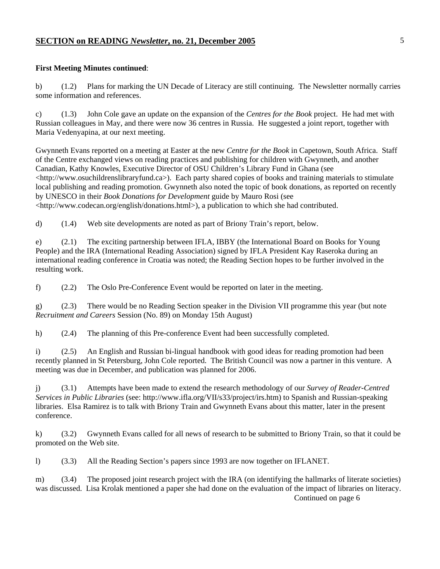#### **First Meeting Minutes continued**:

b) (1.2) Plans for marking the UN Decade of Literacy are still continuing. The Newsletter normally carries some information and references.

c) (1.3) John Cole gave an update on the expansion of the *Centres for the Book* project. He had met with Russian colleagues in May, and there were now 36 centres in Russia. He suggested a joint report, together with Maria Vedenyapina, at our next meeting.

Gwynneth Evans reported on a meeting at Easter at the new *Centre for the Book* in Capetown, South Africa. Staff of the Centre exchanged views on reading practices and publishing for children with Gwynneth, and another Canadian, Kathy Knowles, Executive Director of OSU Children's Library Fund in Ghana (see <http://www.osuchildrenslibraryfund.ca>). Each party shared copies of books and training materials to stimulate local publishing and reading promotion. Gwynneth also noted the topic of book donations, as reported on recently by UNESCO in their *Book Donations for Development* guide by Mauro Rosi (see <http://www.codecan.org/english/donations.html>), a publication to which she had contributed.

d) (1.4) Web site developments are noted as part of Briony Train's report, below.

e) (2.1) The exciting partnership between IFLA, IBBY (the International Board on Books for Young People) and the IRA (International Reading Association) signed by IFLA President Kay Raseroka during an international reading conference in Croatia was noted; the Reading Section hopes to be further involved in the resulting work.

f) (2.2) The Oslo Pre-Conference Event would be reported on later in the meeting.

g) (2.3) There would be no Reading Section speaker in the Division VII programme this year (but note *Recruitment and Careers* Session (No. 89) on Monday 15th August)

h) (2.4) The planning of this Pre-conference Event had been successfully completed.

i) (2.5) An English and Russian bi-lingual handbook with good ideas for reading promotion had been recently planned in St Petersburg, John Cole reported. The British Council was now a partner in this venture. A meeting was due in December, and publication was planned for 2006.

j) (3.1) Attempts have been made to extend the research methodology of our *Survey of Reader-Centred Services in Public Libraries* (see: http://www.ifla.org/VII/s33/project/irs.htm) to Spanish and Russian-speaking libraries. Elsa Ramirez is to talk with Briony Train and Gwynneth Evans about this matter, later in the present conference.

k) (3.2) Gwynneth Evans called for all news of research to be submitted to Briony Train, so that it could be promoted on the Web site.

l) (3.3) All the Reading Section's papers since 1993 are now together on IFLANET.

m) (3.4) The proposed joint research project with the IRA (on identifying the hallmarks of literate societies) was discussed. Lisa Krolak mentioned a paper she had done on the evaluation of the impact of libraries on literacy. Continued on page 6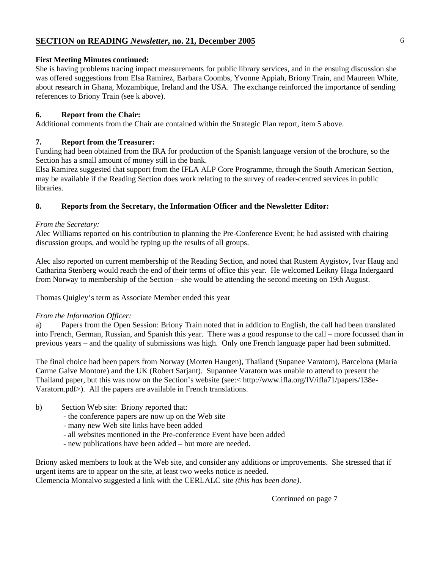## **First Meeting Minutes continued:**

She is having problems tracing impact measurements for public library services, and in the ensuing discussion she was offered suggestions from Elsa Ramirez, Barbara Coombs, Yvonne Appiah, Briony Train, and Maureen White, about research in Ghana, Mozambique, Ireland and the USA. The exchange reinforced the importance of sending references to Briony Train (see k above).

## **6. Report from the Chair:**

Additional comments from the Chair are contained within the Strategic Plan report, item 5 above.

## **7. Report from the Treasurer:**

Funding had been obtained from the IRA for production of the Spanish language version of the brochure, so the Section has a small amount of money still in the bank.

Elsa Ramirez suggested that support from the IFLA ALP Core Programme, through the South American Section, may be available if the Reading Section does work relating to the survey of reader-centred services in public libraries.

## **8. Reports from the Secretary, the Information Officer and the Newsletter Editor:**

## *From the Secretary:*

Alec Williams reported on his contribution to planning the Pre-Conference Event; he had assisted with chairing discussion groups, and would be typing up the results of all groups.

Alec also reported on current membership of the Reading Section, and noted that Rustem Aygistov, Ivar Haug and Catharina Stenberg would reach the end of their terms of office this year. He welcomed Leikny Haga Indergaard from Norway to membership of the Section – she would be attending the second meeting on 19th August.

Thomas Quigley's term as Associate Member ended this year

## *From the Information Officer:*

a) Papers from the Open Session: Briony Train noted that in addition to English, the call had been translated into French, German, Russian, and Spanish this year. There was a good response to the call – more focussed than in previous years – and the quality of submissions was high. Only one French language paper had been submitted.

The final choice had been papers from Norway (Morten Haugen), Thailand (Supanee Varatorn), Barcelona (Maria Carme Galve Montore) and the UK (Robert Sarjant). Supannee Varatorn was unable to attend to present the Thailand paper, but this was now on the Section's website (see:< http://www.ifla.org/IV/ifla71/papers/138e-Varatorn.pdf>). All the papers are available in French translations.

- b) Section Web site: Briony reported that:
	- the conference papers are now up on the Web site
	- many new Web site links have been added
	- all websites mentioned in the Pre-conference Event have been added
	- new publications have been added but more are needed.

Briony asked members to look at the Web site, and consider any additions or improvements. She stressed that if urgent items are to appear on the site, at least two weeks notice is needed. Clemencia Montalvo suggested a link with the CERLALC site *(this has been done)*.

Continued on page 7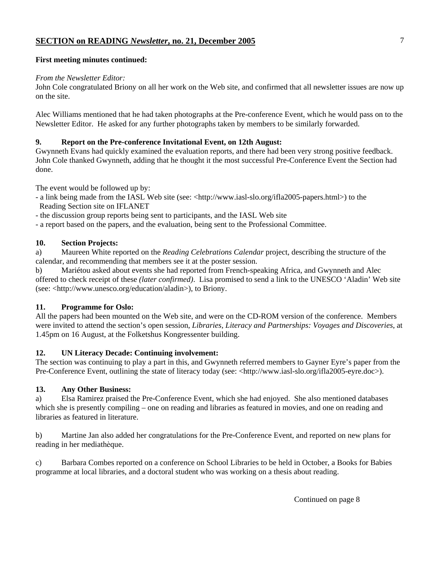#### **First meeting minutes continued:**

#### *From the Newsletter Editor:*

John Cole congratulated Briony on all her work on the Web site, and confirmed that all newsletter issues are now up on the site.

Alec Williams mentioned that he had taken photographs at the Pre-conference Event, which he would pass on to the Newsletter Editor. He asked for any further photographs taken by members to be similarly forwarded.

## **9. Report on the Pre-conference Invitational Event, on 12th August:**

Gwynneth Evans had quickly examined the evaluation reports, and there had been very strong positive feedback. John Cole thanked Gwynneth, adding that he thought it the most successful Pre-Conference Event the Section had done.

The event would be followed up by:

- a link being made from the IASL Web site (see: <http://www.iasl-slo.org/ifla2005-papers.html>) to the Reading Section site on IFLANET
- the discussion group reports being sent to participants, and the IASL Web site

- a report based on the papers, and the evaluation, being sent to the Professional Committee.

#### **10. Section Projects:**

a) Maureen White reported on the *Reading Celebrations Calendar* project, describing the structure of the calendar, and recommending that members see it at the poster session.

b) Mariétou asked about events she had reported from French-speaking Africa, and Gwynneth and Alec offered to check receipt of these *(later confirmed)*. Lisa promised to send a link to the UNESCO 'Aladin' Web site (see: <http://www.unesco.org/education/aladin>), to Briony.

#### **11. Programme for Oslo:**

All the papers had been mounted on the Web site, and were on the CD-ROM version of the conference. Members were invited to attend the section's open session, *Libraries, Literacy and Partnerships: Voyages and Discoveries*, at 1.45pm on 16 August, at the Folketshus Kongressenter building.

## **12. UN Literacy Decade: Continuing involvement:**

The section was continuing to play a part in this, and Gwynneth referred members to Gayner Eyre's paper from the Pre-Conference Event, outlining the state of literacy today (see: <http://www.iasl-slo.org/ifla2005-eyre.doc>).

## **13. Any Other Business:**

a) Elsa Ramirez praised the Pre-Conference Event, which she had enjoyed. She also mentioned databases which she is presently compiling – one on reading and libraries as featured in movies, and one on reading and libraries as featured in literature.

b) Martine Jan also added her congratulations for the Pre-Conference Event, and reported on new plans for reading in her mediathèque.

c) Barbara Combes reported on a conference on School Libraries to be held in October, a Books for Babies programme at local libraries, and a doctoral student who was working on a thesis about reading.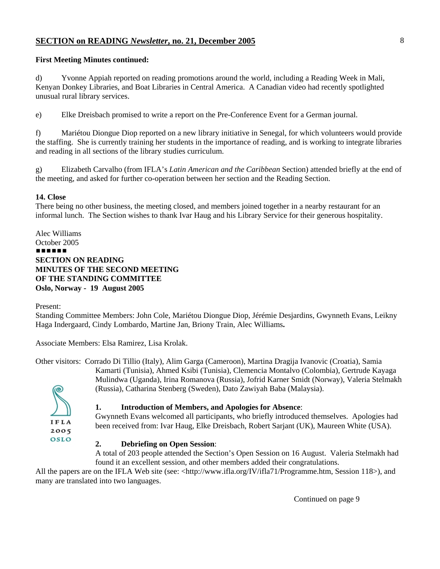## **First Meeting Minutes continued:**

d) Yvonne Appiah reported on reading promotions around the world, including a Reading Week in Mali, Kenyan Donkey Libraries, and Boat Libraries in Central America. A Canadian video had recently spotlighted unusual rural library services.

e) Elke Dreisbach promised to write a report on the Pre-Conference Event for a German journal.

f) Mariétou Diongue Diop reported on a new library initiative in Senegal, for which volunteers would provide the staffing. She is currently training her students in the importance of reading, and is working to integrate libraries and reading in all sections of the library studies curriculum.

g) Elizabeth Carvalho (from IFLA's *Latin American and the Caribbean* Section) attended briefly at the end of the meeting, and asked for further co-operation between her section and the Reading Section.

## **14. Close**

There being no other business, the meeting closed, and members joined together in a nearby restaurant for an informal lunch. The Section wishes to thank Ivar Haug and his Library Service for their generous hospitality.

Alec Williams October 2005 ###### **SECTION ON READING MINUTES OF THE SECOND MEETING OF THE STANDING COMMITTEE Oslo, Norway - 19 August 2005**

Present:

Standing Committee Members: John Cole, Mariétou Diongue Diop, Jérémie Desjardins, Gwynneth Evans, Leikny Haga Indergaard, Cindy Lombardo, Martine Jan, Briony Train, Alec Williams**.** 

Associate Members: Elsa Ramirez, Lisa Krolak.

Other visitors: Corrado Di Tillio (Italy), Alim Garga (Cameroon), Martina Dragija Ivanovic (Croatia), Samia Kamarti (Tunisia), Ahmed Ksibi (Tunisia), Clemencia Montalvo (Colombia), Gertrude Kayaga Mulindwa (Uganda), Irina Romanova (Russia), Jofrid Karner Smidt (Norway), Valeria Stelmakh (Russia), Catharina Stenberg (Sweden), Dato Zawiyah Baba (Malaysia).



#### **1. Introduction of Members, and Apologies for Absence**:

Gwynneth Evans welcomed all participants, who briefly introduced themselves. Apologies had been received from: Ivar Haug, Elke Dreisbach, Robert Sarjant (UK), Maureen White (USA).

## **2. Debriefing on Open Session**:

A total of 203 people attended the Section's Open Session on 16 August. Valeria Stelmakh had found it an excellent session, and other members added their congratulations.

All the papers are on the IFLA Web site (see: <http://www.ifla.org/IV/ifla71/Programme.htm, Session 118>), and many are translated into two languages.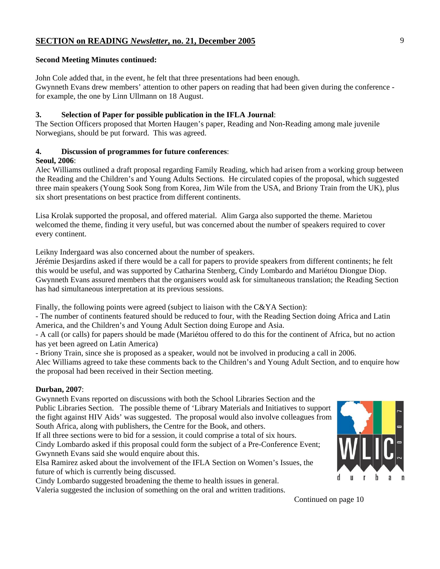#### **Second Meeting Minutes continued:**

John Cole added that, in the event, he felt that three presentations had been enough. Gwynneth Evans drew members' attention to other papers on reading that had been given during the conference for example, the one by Linn Ullmann on 18 August.

#### **3. Selection of Paper for possible publication in the IFLA Journal**:

The Section Officers proposed that Morten Haugen's paper, Reading and Non-Reading among male juvenile Norwegians, should be put forward. This was agreed.

## **4. Discussion of programmes for future conferences**:

#### **Seoul, 2006**:

Alec Williams outlined a draft proposal regarding Family Reading, which had arisen from a working group between the Reading and the Children's and Young Adults Sections. He circulated copies of the proposal, which suggested three main speakers (Young Sook Song from Korea, Jim Wile from the USA, and Briony Train from the UK), plus six short presentations on best practice from different continents.

Lisa Krolak supported the proposal, and offered material. Alim Garga also supported the theme. Marietou welcomed the theme, finding it very useful, but was concerned about the number of speakers required to cover every continent.

Leikny Indergaard was also concerned about the number of speakers.

Jérémie Desjardins asked if there would be a call for papers to provide speakers from different continents; he felt this would be useful, and was supported by Catharina Stenberg, Cindy Lombardo and Mariétou Diongue Diop. Gwynneth Evans assured members that the organisers would ask for simultaneous translation; the Reading Section has had simultaneous interpretation at its previous sessions.

Finally, the following points were agreed (subject to liaison with the C&YA Section):

- The number of continents featured should be reduced to four, with the Reading Section doing Africa and Latin America, and the Children's and Young Adult Section doing Europe and Asia.

- A call (or calls) for papers should be made (Mariétou offered to do this for the continent of Africa, but no action has yet been agreed on Latin America)

- Briony Train, since she is proposed as a speaker, would not be involved in producing a call in 2006.

Alec Williams agreed to take these comments back to the Children's and Young Adult Section, and to enquire how the proposal had been received in their Section meeting.

## **Durban, 2007**:

Gwynneth Evans reported on discussions with both the School Libraries Section and the Public Libraries Section. The possible theme of 'Library Materials and Initiatives to support the fight against HIV Aids' was suggested. The proposal would also involve colleagues from South Africa, along with publishers, the Centre for the Book, and others.

If all three sections were to bid for a session, it could comprise a total of six hours. Cindy Lombardo asked if this proposal could form the subject of a Pre-Conference Event; Gwynneth Evans said she would enquire about this.

Elsa Ramirez asked about the involvement of the IFLA Section on Women's Issues, the future of which is currently being discussed.

Cindy Lombardo suggested broadening the theme to health issues in general.

Valeria suggested the inclusion of something on the oral and written traditions.



Continued on page 10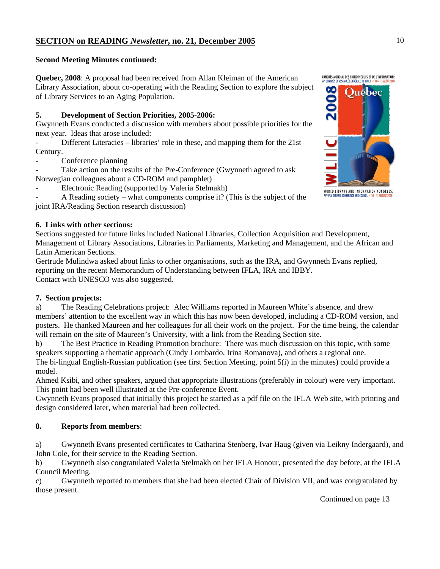## **Second Meeting Minutes continued:**

**Quebec, 2008**: A proposal had been received from Allan Kleiman of the American Library Association, about co-operating with the Reading Section to explore the subject of Library Services to an Aging Population.

## **5. Development of Section Priorities, 2005-2006:**

Gwynneth Evans conducted a discussion with members about possible priorities for the next year. Ideas that arose included:

Different Literacies – libraries' role in these, and mapping them for the 21st Century.

Conference planning

Take action on the results of the Pre-Conference (Gwynneth agreed to ask Norwegian colleagues about a CD-ROM and pamphlet)

Electronic Reading (supported by Valeria Stelmakh)

- A Reading society – what components comprise it? (This is the subject of the joint IRA/Reading Section research discussion)

## **6. Links with other sections:**

Sections suggested for future links included National Libraries, Collection Acquisition and Development, Management of Library Associations, Libraries in Parliaments, Marketing and Management, and the African and Latin American Sections.

Gertrude Mulindwa asked about links to other organisations, such as the IRA, and Gwynneth Evans replied, reporting on the recent Memorandum of Understanding between IFLA, IRA and IBBY. Contact with UNESCO was also suggested.

## **7. Section projects:**

a) The Reading Celebrations project: Alec Williams reported in Maureen White's absence, and drew members' attention to the excellent way in which this has now been developed, including a CD-ROM version, and posters. He thanked Maureen and her colleagues for all their work on the project. For the time being, the calendar will remain on the site of Maureen's University, with a link from the Reading Section site.

b) The Best Practice in Reading Promotion brochure: There was much discussion on this topic, with some speakers supporting a thematic approach (Cindy Lombardo, Irina Romanova), and others a regional one.

The bi-lingual English-Russian publication (see first Section Meeting, point 5(i) in the minutes) could provide a model.

Ahmed Ksibi, and other speakers, argued that appropriate illustrations (preferably in colour) were very important. This point had been well illustrated at the Pre-conference Event.

Gwynneth Evans proposed that initially this project be started as a pdf file on the IFLA Web site, with printing and design considered later, when material had been collected.

## **8. Reports from members**:

a) Gwynneth Evans presented certificates to Catharina Stenberg, Ivar Haug (given via Leikny Indergaard), and John Cole, for their service to the Reading Section.

b) Gwynneth also congratulated Valeria Stelmakh on her IFLA Honour, presented the day before, at the IFLA Council Meeting.

c) Gwynneth reported to members that she had been elected Chair of Division VII, and was congratulated by those present.

Continued on page 13

2008

CONGRÈS MONDIAL DES BIBLIOTHÈQUES ET DE L'INFORMATION : 4<sup>e</sup> congrès et assemblée générale de l'Ifla

**Ouebec** 

WORLD LIBRARY AND INFORMATION CONGRESS: **" IFLA GENERAL CONFERENCE AND COUNCIL**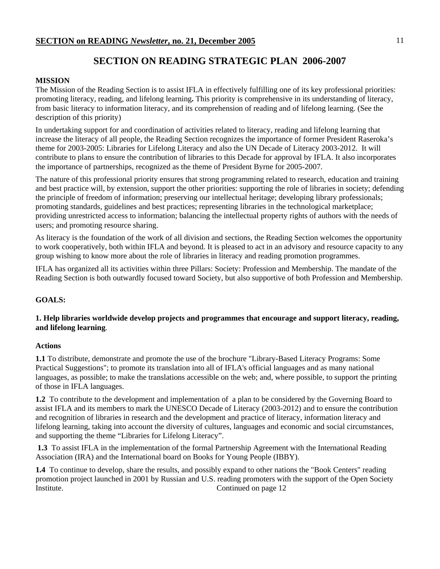## **SECTION ON READING STRATEGIC PLAN 2006-2007**

## **MISSION**

The Mission of the Reading Section is to assist IFLA in effectively fulfilling one of its key professional priorities: promoting literacy, reading, and lifelong learning**.** This priority is comprehensive in its understanding of literacy, from basic literacy to information literacy, and its comprehension of reading and of lifelong learning. (See the description of this priority)

In undertaking support for and coordination of activities related to literacy, reading and lifelong learning that increase the literacy of all people, the Reading Section recognizes the importance of former President Raseroka's theme for 2003-2005: Libraries for Lifelong Literacy and also the UN Decade of Literacy 2003-2012. It will contribute to plans to ensure the contribution of libraries to this Decade for approval by IFLA. It also incorporates the importance of partnerships, recognized as the theme of President Byrne for 2005-2007.

The nature of this professional priority ensures that strong programming related to research, education and training and best practice will, by extension, support the other priorities: supporting the role of libraries in society; defending the principle of freedom of information; preserving our intellectual heritage; developing library professionals; promoting standards, guidelines and best practices; representing libraries in the technological marketplace; providing unrestricted access to information; balancing the intellectual property rights of authors with the needs of users; and promoting resource sharing.

As literacy is the foundation of the work of all division and sections, the Reading Section welcomes the opportunity to work cooperatively, both within IFLA and beyond. It is pleased to act in an advisory and resource capacity to any group wishing to know more about the role of libraries in literacy and reading promotion programmes.

IFLA has organized all its activities within three Pillars: Society: Profession and Membership. The mandate of the Reading Section is both outwardly focused toward Society, but also supportive of both Profession and Membership.

## **GOALS:**

## **1. Help libraries worldwide develop projects and programmes that encourage and support literacy, reading, and lifelong learning**.

## **Actions**

**1.1** To distribute, demonstrate and promote the use of the brochure "Library-Based Literacy Programs: Some Practical Suggestions"; to promote its translation into all of IFLA's official languages and as many national languages, as possible; to make the translations accessible on the web; and, where possible, to support the printing of those in IFLA languages.

**1.2** To contribute to the development and implementation of a plan to be considered by the Governing Board to assist IFLA and its members to mark the UNESCO Decade of Literacy (2003-2012) and to ensure the contribution and recognition of libraries in research and the development and practice of literacy, information literacy and lifelong learning, taking into account the diversity of cultures, languages and economic and social circumstances, and supporting the theme "Libraries for Lifelong Literacy".

**1.3** To assist IFLA in the implementation of the formal Partnership Agreement with the International Reading Association (IRA) and the International board on Books for Young People (IBBY).

**1.4** To continue to develop, share the results, and possibly expand to other nations the "Book Centers" reading promotion project launched in 2001 by Russian and U.S. reading promoters with the support of the Open Society Institute. Continued on page 12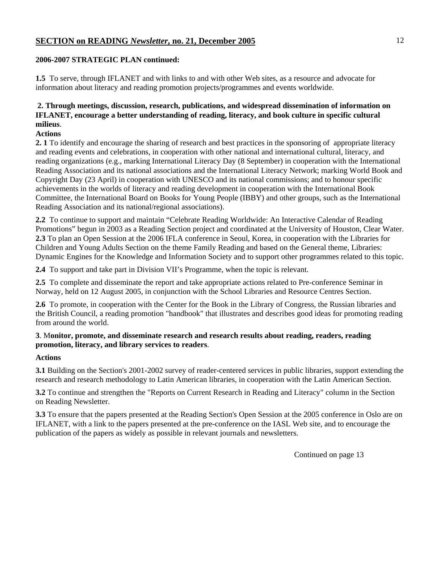## **2006-2007 STRATEGIC PLAN continued:**

**1.5** To serve, through IFLANET and with links to and with other Web sites, as a resource and advocate for information about literacy and reading promotion projects/programmes and events worldwide.

## **2. Through meetings, discussion, research, publications, and widespread dissemination of information on IFLANET, encourage a better understanding of reading, literacy, and book culture in specific cultural milieus**.

## **Actions**

**2. 1** To identify and encourage the sharing of research and best practices in the sponsoring of appropriate literacy and reading events and celebrations, in cooperation with other national and international cultural, literacy, and reading organizations (e.g., marking International Literacy Day (8 September) in cooperation with the International Reading Association and its national associations and the International Literacy Network; marking World Book and Copyright Day (23 April) in cooperation with UNESCO and its national commissions; and to honour specific achievements in the worlds of literacy and reading development in cooperation with the International Book Committee, the International Board on Books for Young People (IBBY) and other groups, such as the International Reading Association and its national/regional associations).

**2.2** To continue to support and maintain "Celebrate Reading Worldwide: An Interactive Calendar of Reading Promotions" begun in 2003 as a Reading Section project and coordinated at the University of Houston, Clear Water. **2.3** To plan an Open Session at the 2006 IFLA conference in Seoul, Korea, in cooperation with the Libraries for Children and Young Adults Section on the theme Family Reading and based on the General theme, Libraries: Dynamic Engines for the Knowledge and Information Society and to support other programmes related to this topic.

**2.4** To support and take part in Division VII's Programme, when the topic is relevant.

**2.5** To complete and disseminate the report and take appropriate actions related to Pre-conference Seminar in Norway, held on 12 August 2005, in conjunction with the School Libraries and Resource Centres Section.

**2.6** To promote, in cooperation with the Center for the Book in the Library of Congress, the Russian libraries and the British Council, a reading promotion "handbook" that illustrates and describes good ideas for promoting reading from around the world.

## **3**. M**onitor, promote, and disseminate research and research results about reading, readers, reading promotion, literacy, and library services to readers**.

## **Actions**

**3.1** Building on the Section's 2001-2002 survey of reader-centered services in public libraries, support extending the research and research methodology to Latin American libraries, in cooperation with the Latin American Section.

**3.2** To continue and strengthen the "Reports on Current Research in Reading and Literacy" column in the Section on Reading Newsletter.

**3.3** To ensure that the papers presented at the Reading Section's Open Session at the 2005 conference in Oslo are on IFLANET, with a link to the papers presented at the pre-conference on the IASL Web site, and to encourage the publication of the papers as widely as possible in relevant journals and newsletters.

Continued on page 13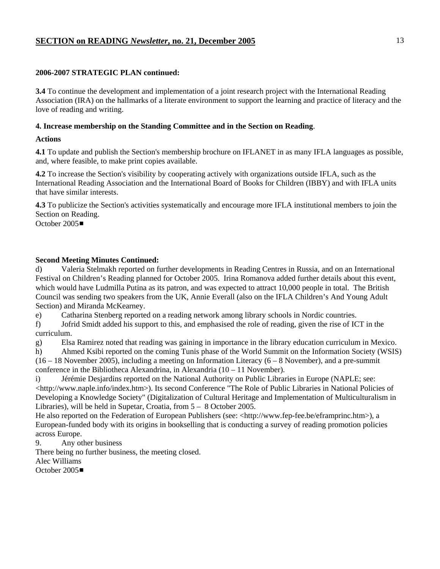## **2006-2007 STRATEGIC PLAN continued:**

**3.4** To continue the development and implementation of a joint research project with the International Reading Association (IRA) on the hallmarks of a literate environment to support the learning and practice of literacy and the love of reading and writing.

## **4. Increase membership on the Standing Committee and in the Section on Reading**.

## **Actions**

**4.1** To update and publish the Section's membership brochure on IFLANET in as many IFLA languages as possible, and, where feasible, to make print copies available.

**4.2** To increase the Section's visibility by cooperating actively with organizations outside IFLA, such as the International Reading Association and the International Board of Books for Children (IBBY) and with IFLA units that have similar interests.

**4.3** To publicize the Section's activities systematically and encourage more IFLA institutional members to join the Section on Reading. October 2005■

## **Second Meeting Minutes Continued:**

d) Valeria Stelmakh reported on further developments in Reading Centres in Russia, and on an International Festival on Children's Reading planned for October 2005. Irina Romanova added further details about this event, which would have Ludmilla Putina as its patron, and was expected to attract 10,000 people in total. The British Council was sending two speakers from the UK, Annie Everall (also on the IFLA Children's And Young Adult Section) and Miranda McKearney.

e) Catharina Stenberg reported on a reading network among library schools in Nordic countries.

f) Jofrid Smidt added his support to this, and emphasised the role of reading, given the rise of ICT in the curriculum.

g) Elsa Ramirez noted that reading was gaining in importance in the library education curriculum in Mexico.

h) Ahmed Ksibi reported on the coming Tunis phase of the World Summit on the Information Society (WSIS) (16 – 18 November 2005), including a meeting on Information Literacy (6 – 8 November), and a pre-summit conference in the Bibliotheca Alexandrina, in Alexandria (10 – 11 November).

i) Jérémie Desjardins reported on the National Authority on Public Libraries in Europe (NAPLE; see: <http://www.naple.info/index.htm>). Its second Conference "The Role of Public Libraries in National Policies of Developing a Knowledge Society" (Digitalization of Cultural Heritage and Implementation of Multiculturalism in Libraries), will be held in Supetar, Croatia, from 5 – 8 October 2005.

He also reported on the Federation of European Publishers (see: <http://www.fep-fee.be/eframprinc.htm>), a European-funded body with its origins in bookselling that is conducting a survey of reading promotion policies across Europe.

9. Any other business

There being no further business, the meeting closed.

Alec Williams

October  $2005$  $\blacksquare$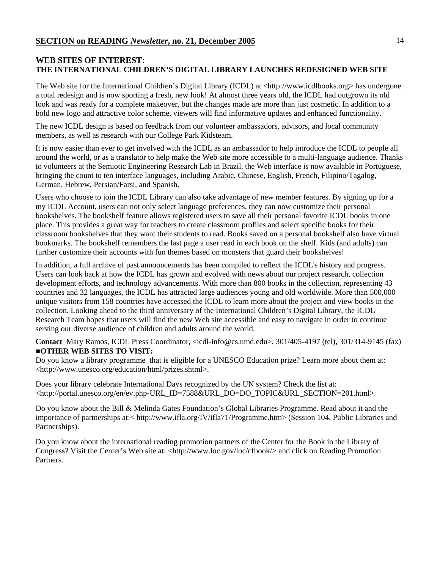## **WEB SITES OF INTEREST: THE INTERNATIONAL CHILDREN'S DIGITAL LIBRARY LAUNCHES REDESIGNED WEB SITE**

The Web site for the International Children's Digital Library (ICDL) at <http://www.icdlbooks.org> has undergone a total redesign and is now sporting a fresh, new look! At almost three years old, the ICDL had outgrown its old look and was ready for a complete makeover, but the changes made are more than just cosmetic. In addition to a bold new logo and attractive color scheme, viewers will find informative updates and enhanced functionality.

The new ICDL design is based on feedback from our volunteer ambassadors, advisors, and local community members, as well as research with our College Park Kidsteam.

It is now easier than ever to get involved with the ICDL as an ambassador to help introduce the ICDL to people all around the world, or as a translator to help make the Web site more accessible to a multi-language audience. Thanks to volunteers at the Semiotic Engineering Research Lab in Brazil, the Web interface is now available in Portuguese, bringing the count to ten interface languages, including Arabic, Chinese, English, French, Filipino/Tagalog, German, Hebrew, Persian/Farsi, and Spanish.

Users who choose to join the ICDL Library can also take advantage of new member features. By signing up for a my ICDL Account, users can not only select language preferences, they can now customize their personal bookshelves. The bookshelf feature allows registered users to save all their personal favorite ICDL books in one place. This provides a great way for teachers to create classroom profiles and select specific books for their classroom bookshelves that they want their students to read. Books saved on a personal bookshelf also have virtual bookmarks. The bookshelf remembers the last page a user read in each book on the shelf. Kids (and adults) can further customize their accounts with fun themes based on monsters that guard their bookshelves!

In addition, a full archive of past announcements has been compiled to reflect the ICDL's history and progress. Users can look back at how the ICDL has grown and evolved with news about our project research, collection development efforts, and technology advancements. With more than 800 books in the collection, representing 43 countries and 32 languages, the ICDL has attracted large audiences young and old worldwide. More than 500,000 unique visitors from 158 countries have accessed the ICDL to learn more about the project and view books in the collection. Looking ahead to the third anniversary of the International Children's Digital Library, the ICDL Research Team hopes that users will find the new Web site accessible and easy to navigate in order to continue serving our diverse audience of children and adults around the world.

**Contact** Mary Ramos, ICDL Press Coordinator, <icdl-info@cs.umd.edu>, 301/405-4197 (tel), 301/314-9145 (fax) #**OTHER WEB SITES TO VISIT:** 

Do you know a library programme that is eligible for a UNESCO Education prize? Learn more about them at: <http://www.unesco.org/education/html/prizes.shtml>.

Does your library celebrate International Days recognized by the UN system? Check the list at: <http://portal.unesco.org/en/ev.php-URL\_ID=7588&URL\_DO=DO\_TOPIC&URL\_SECTION=201.html>.

Do you know about the Bill & Melinda Gates Foundation's Global Libraries Programme. Read about it and the importance of partnerships at:< http://www.ifla.org/IV/ifla71/Programme.htm> (Session 104, Public Libraries and Partnerships).

Do you know about the international reading promotion partners of the Center for the Book in the Library of Congress? Visit the Center's Web site at: <http://www.loc.gov/loc/cfbook/> and click on Reading Promotion Partners.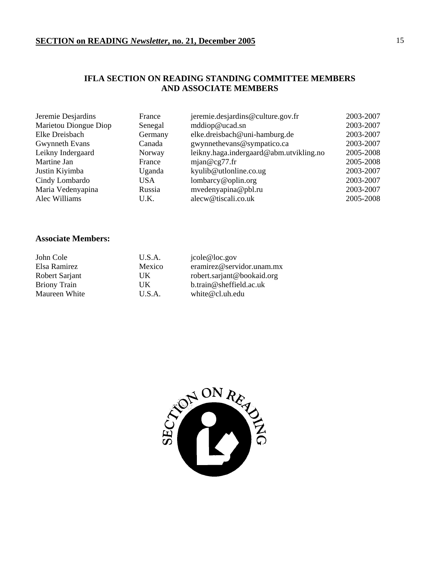## **IFLA SECTION ON READING STANDING COMMITTEE MEMBERS AND ASSOCIATE MEMBERS**

| Jeremie Desjardins    | France  | jeremie.desjardins@culture.gov.fr       | 2003-2007 |
|-----------------------|---------|-----------------------------------------|-----------|
| Marietou Diongue Diop | Senegal | mddiop@ucad.sn                          | 2003-2007 |
| Elke Dreisbach        | Germany | elke.dreisbach@uni-hamburg.de           | 2003-2007 |
| Gwynneth Evans        | Canada  | gwynnethevans@sympatico.ca              | 2003-2007 |
| Leikny Indergaard     | Norway  | leikny.haga.indergaard@abm.utvikling.no | 2005-2008 |
| Martine Jan           | France  | mjan@cg77.fr                            | 2005-2008 |
| Justin Kiyimba        | Uganda  | kyulib@utlonline.co.ug                  | 2003-2007 |
| Cindy Lombardo        | USA     | lombarcy@oplin.org                      | 2003-2007 |
| Maria Vedenyapina     | Russia  | mvedenyapina@pbl.ru                     | 2003-2007 |
| Alec Williams         | U.K.    | alecw@tiscali.co.uk                     | 2005-2008 |

## **Associate Members:**

| John Cole           | U.S.A. | jcole@loc.gov                        |
|---------------------|--------|--------------------------------------|
| Elsa Ramirez        | Mexico | eramirez@servidor.unam.mx            |
| Robert Sarjant      | UK     | robert.sarjant@bookaid.org           |
| <b>Briony Train</b> | UK     | $b_{\text{.}}$ train@sheffield.ac.uk |
| Maureen White       | U.S.A. | white $@{\rm cl.}$ uh.edu            |